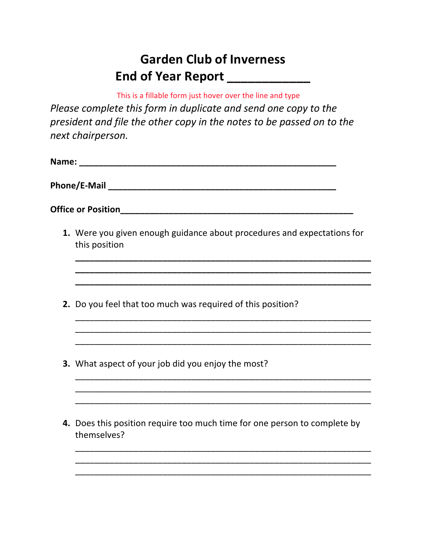## **Garden Club of Inverness End of Year Report \_\_\_\_\_\_\_\_\_\_\_\_**

This is a fillable form just hover over the line and type

*Please complete this form in duplicate and send one copy to the president and file the other copy in the notes to be passed on to the next chairperson.*

| Name: |                                                                                          |  |  |                                                                                          |
|-------|------------------------------------------------------------------------------------------|--|--|------------------------------------------------------------------------------------------|
|       |                                                                                          |  |  | 1. Were you given enough guidance about procedures and expectations for<br>this position |
|       |                                                                                          |  |  |                                                                                          |
|       | 2. Do you feel that too much was required of this position?                              |  |  |                                                                                          |
|       |                                                                                          |  |  |                                                                                          |
|       | <b>3.</b> What aspect of your job did you enjoy the most?                                |  |  |                                                                                          |
|       |                                                                                          |  |  |                                                                                          |
|       | 4. Does this position require too much time for one person to complete by<br>themselves? |  |  |                                                                                          |
|       |                                                                                          |  |  |                                                                                          |
|       |                                                                                          |  |  |                                                                                          |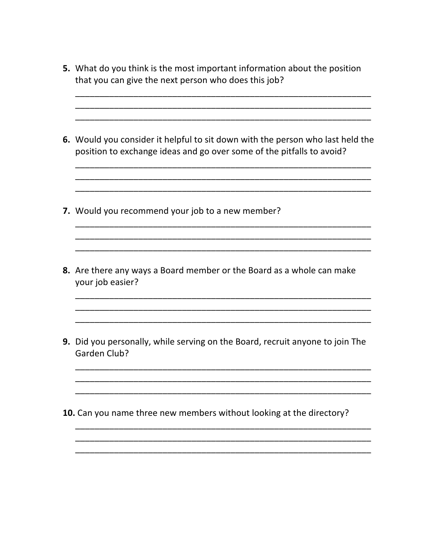- 5. What do you think is the most important information about the position that you can give the next person who does this job?
- 6. Would you consider it helpful to sit down with the person who last held the position to exchange ideas and go over some of the pitfalls to avoid?

- 7. Would you recommend your job to a new member?
- 8. Are there any ways a Board member or the Board as a whole can make your job easier?
- 9. Did you personally, while serving on the Board, recruit anyone to join The **Garden Club?**
- 10. Can you name three new members without looking at the directory?